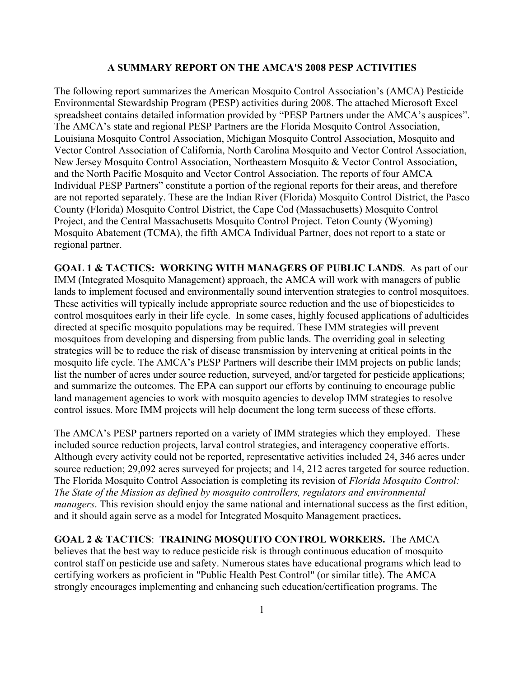## **A SUMMARY REPORT ON THE AMCA'S 2008 PESP ACTIVITIES**

The following report summarizes the American Mosquito Control Association's (AMCA) Pesticide Environmental Stewardship Program (PESP) activities during 2008. The attached Microsoft Excel spreadsheet contains detailed information provided by "PESP Partners under the AMCA's auspices". The AMCA's state and regional PESP Partners are the Florida Mosquito Control Association, Louisiana Mosquito Control Association, Michigan Mosquito Control Association, Mosquito and Vector Control Association of California, North Carolina Mosquito and Vector Control Association, New Jersey Mosquito Control Association, Northeastern Mosquito & Vector Control Association, and the North Pacific Mosquito and Vector Control Association. The reports of four AMCA Individual PESP Partners" constitute a portion of the regional reports for their areas, and therefore are not reported separately. These are the Indian River (Florida) Mosquito Control District, the Pasco County (Florida) Mosquito Control District, the Cape Cod (Massachusetts) Mosquito Control Project, and the Central Massachusetts Mosquito Control Project. Teton County (Wyoming) Mosquito Abatement (TCMA), the fifth AMCA Individual Partner, does not report to a state or regional partner.

**GOAL 1 & TACTICS: WORKING WITH MANAGERS OF PUBLIC LANDS**. As part of our IMM (Integrated Mosquito Management) approach, the AMCA will work with managers of public lands to implement focused and environmentally sound intervention strategies to control mosquitoes. These activities will typically include appropriate source reduction and the use of biopesticides to control mosquitoes early in their life cycle. In some cases, highly focused applications of adulticides directed at specific mosquito populations may be required. These IMM strategies will prevent mosquitoes from developing and dispersing from public lands. The overriding goal in selecting strategies will be to reduce the risk of disease transmission by intervening at critical points in the mosquito life cycle. The AMCA's PESP Partners will describe their IMM projects on public lands; list the number of acres under source reduction, surveyed, and/or targeted for pesticide applications; and summarize the outcomes. The EPA can support our efforts by continuing to encourage public land management agencies to work with mosquito agencies to develop IMM strategies to resolve control issues. More IMM projects will help document the long term success of these efforts.

The AMCA's PESP partners reported on a variety of IMM strategies which they employed. These included source reduction projects, larval control strategies, and interagency cooperative efforts. Although every activity could not be reported, representative activities included 24, 346 acres under source reduction; 29,092 acres surveyed for projects; and 14, 212 acres targeted for source reduction. The Florida Mosquito Control Association is completing its revision of *Florida Mosquito Control: The State of the Mission as defined by mosquito controllers, regulators and environmental managers*. This revision should enjoy the same national and international success as the first edition, and it should again serve as a model for Integrated Mosquito Management practices**.**

**GOAL 2 & TACTICS**: **TRAINING MOSQUITO CONTROL WORKERS.** The AMCA believes that the best way to reduce pesticide risk is through continuous education of mosquito control staff on pesticide use and safety. Numerous states have educational programs which lead to certifying workers as proficient in "Public Health Pest Control" (or similar title). The AMCA strongly encourages implementing and enhancing such education/certification programs. The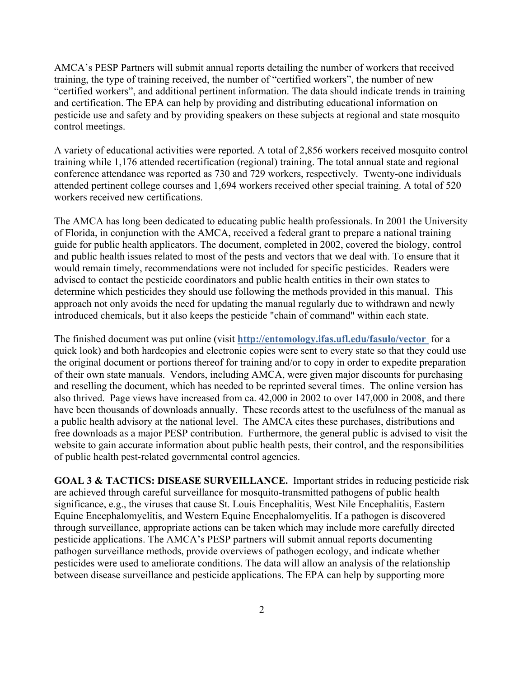AMCA's PESP Partners will submit annual reports detailing the number of workers that received training, the type of training received, the number of "certified workers", the number of new "certified workers", and additional pertinent information. The data should indicate trends in training and certification. The EPA can help by providing and distributing educational information on pesticide use and safety and by providing speakers on these subjects at regional and state mosquito control meetings.

A variety of educational activities were reported. A total of 2,856 workers received mosquito control training while 1,176 attended recertification (regional) training. The total annual state and regional conference attendance was reported as 730 and 729 workers, respectively. Twenty-one individuals attended pertinent college courses and 1,694 workers received other special training. A total of 520 workers received new certifications.

The AMCA has long been dedicated to educating public health professionals. In 2001 the University of Florida, in conjunction with the AMCA, received a federal grant to prepare a national training guide for public health applicators. The document, completed in 2002, covered the biology, control and public health issues related to most of the pests and vectors that we deal with. To ensure that it would remain timely, recommendations were not included for specific pesticides. Readers were advised to contact the pesticide coordinators and public health entities in their own states to determine which pesticides they should use following the methods provided in this manual. This approach not only avoids the need for updating the manual regularly due to withdrawn and newly introduced chemicals, but it also keeps the pesticide "chain of command" within each state.

The finished document was put online (visit **http://entomology.ifas.ufl.edu/fasulo/vector** for a quick look) and both hardcopies and electronic copies were sent to every state so that they could use the original document or portions thereof for training and/or to copy in order to expedite preparation of their own state manuals. Vendors, including AMCA, were given major discounts for purchasing and reselling the document, which has needed to be reprinted several times. The online version has also thrived. Page views have increased from ca. 42,000 in 2002 to over 147,000 in 2008, and there have been thousands of downloads annually. These records attest to the usefulness of the manual as a public health advisory at the national level. The AMCA cites these purchases, distributions and free downloads as a major PESP contribution. Furthermore, the general public is advised to visit the website to gain accurate information about public health pests, their control, and the responsibilities of public health pest-related governmental control agencies.

**GOAL 3 & TACTICS: DISEASE SURVEILLANCE.** Important strides in reducing pesticide risk are achieved through careful surveillance for mosquito-transmitted pathogens of public health significance, e.g., the viruses that cause St. Louis Encephalitis, West Nile Encephalitis, Eastern Equine Encephalomyelitis, and Western Equine Encephalomyelitis. If a pathogen is discovered through surveillance, appropriate actions can be taken which may include more carefully directed pesticide applications. The AMCA's PESP partners will submit annual reports documenting pathogen surveillance methods, provide overviews of pathogen ecology, and indicate whether pesticides were used to ameliorate conditions. The data will allow an analysis of the relationship between disease surveillance and pesticide applications. The EPA can help by supporting more